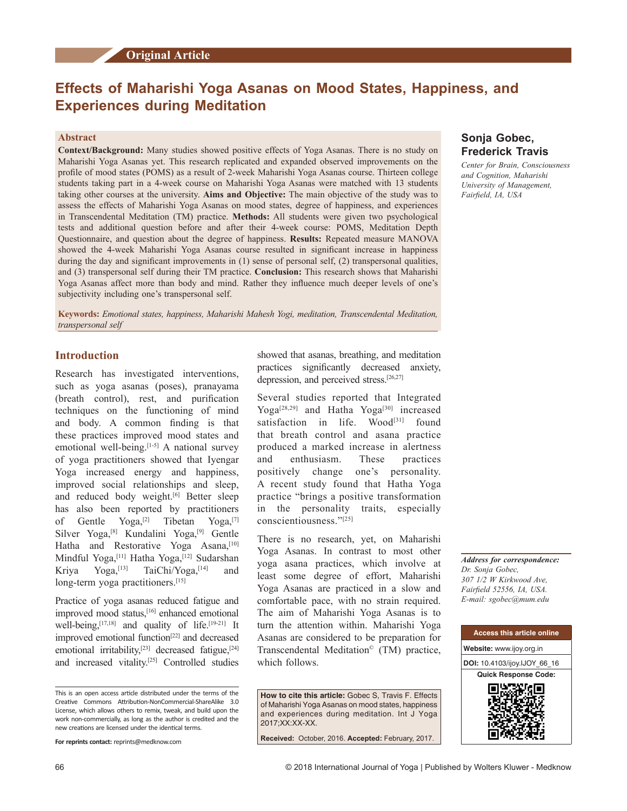# **Effects of Maharishi Yoga Asanas on Mood States, Happiness, and Experiences during Meditation**

### **Abstract**

**Context/Background:** Many studies showed positive effects of Yoga Asanas. There is no study on Maharishi Yoga Asanas yet. This research replicated and expanded observed improvements on the profile of mood states (POMS) as a result of 2‑week Maharishi Yoga Asanas course. Thirteen college students taking part in a 4‑week course on Maharishi Yoga Asanas were matched with 13 students taking other courses at the university. **Aims and Objective:** The main objective of the study was to assess the effects of Maharishi Yoga Asanas on mood states, degree of happiness, and experiences in Transcendental Meditation (TM) practice. **Methods:** All students were given two psychological tests and additional question before and after their 4‑week course: POMS, Meditation Depth Questionnaire, and question about the degree of happiness. **Results:** Repeated measure MANOVA showed the 4‑week Maharishi Yoga Asanas course resulted in significant increase in happiness during the day and significant improvements in (1) sense of personal self, (2) transpersonal qualities, and (3) transpersonal self during their TM practice. **Conclusion:** This research shows that Maharishi Yoga Asanas affect more than body and mind. Rather they influence much deeper levels of one's subjectivity including one's transpersonal self.

**Keywords:** *Emotional states, happiness, Maharishi Mahesh Yogi, meditation, Transcendental Meditation, transpersonal self*

# **Introduction**

Research has investigated interventions, such as yoga asanas (poses), pranayama (breath control), rest, and purification techniques on the functioning of mind and body. A common finding is that these practices improved mood states and emotional well-being. $[1-5]$  A national survey of yoga practitioners showed that Iyengar Yoga increased energy and happiness, improved social relationships and sleep, and reduced body weight.<sup>[6]</sup> Better sleep has also been reported by practitioners of Gentle Yoga,<sup>[2]</sup> Tibetan Yoga,<sup>[7]</sup> Silver Yoga,<sup>[8]</sup> Kundalini Yoga,<sup>[9]</sup> Gentle Hatha and Restorative Yoga Asana,<sup>[10]</sup> Mindful Yoga,<sup>[11]</sup> Hatha Yoga,<sup>[12]</sup> Sudarshan Kriya Yoga,<sup>[13]</sup> TaiChi/Yoga,<sup>[14]</sup> and long-term yoga practitioners.<sup>[15]</sup>

Practice of yoga asanas reduced fatigue and improved mood status,[16] enhanced emotional well-being,<sup>[17,18]</sup> and quality of life.<sup>[19-21]</sup> It improved emotional function<sup>[22]</sup> and decreased emotional irritability,<sup>[23]</sup> decreased fatigue,<sup>[24]</sup> and increased vitality.[25] Controlled studies

**For reprints contact:** reprints@medknow.com

showed that asanas, breathing, and meditation practices significantly decreased anxiety, depression, and perceived stress.[26,27]

Several studies reported that Integrated Yoga<sup>[28,29]</sup> and Hatha Yoga<sup>[30]</sup> increased satisfaction in life. Wood<sup>[31]</sup> found that breath control and asana practice produced a marked increase in alertness and enthusiasm. These practices positively change one's personality. A recent study found that Hatha Yoga practice "brings a positive transformation in the personality traits, especially conscientiousness."[25]

There is no research, yet, on Maharishi Yoga Asanas. In contrast to most other yoga asana practices, which involve at least some degree of effort, Maharishi Yoga Asanas are practiced in a slow and comfortable pace, with no strain required. The aim of Maharishi Yoga Asanas is to turn the attention within. Maharishi Yoga Asanas are considered to be preparation for Transcendental Meditation<sup>©</sup> (TM) practice, which follows.

**How to cite this article:** Gobec S, Travis F. Effects of Maharishi Yoga Asanas on mood states, happiness and experiences during meditation. Int J Yoga 2017;XX:XX-XX.

**Received:** October, 2016. **Accepted:** February, 2017.

# **Sonja Gobec, Frederick Travis**

*Center for Brain, Consciousness and Cognition, Maharishi University of Management, Fairfield, IA, USA*

*Address for correspondence: Dr. Sonja Gobec, 307 1/2 W Kirkwood Ave, Fairfield 52556, IA, USA. E‑mail: sgobec@mum.edu*



This is an open access article distributed under the terms of the Creative Commons Attribution‑NonCommercial‑ShareAlike 3.0 License, which allows others to remix, tweak, and build upon the work non‑commercially, as long as the author is credited and the new creations are licensed under the identical terms.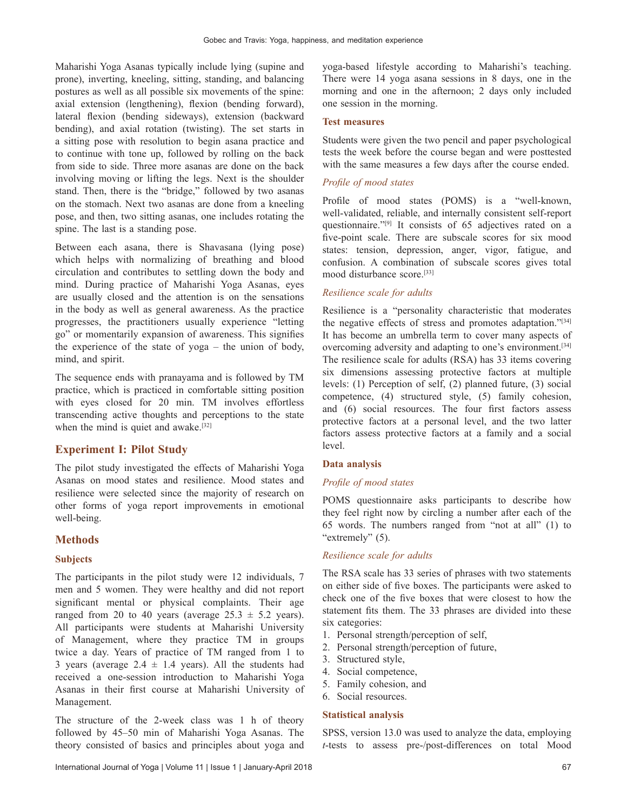Maharishi Yoga Asanas typically include lying (supine and prone), inverting, kneeling, sitting, standing, and balancing postures as well as all possible six movements of the spine: axial extension (lengthening), flexion (bending forward), lateral flexion (bending sideways), extension (backward bending), and axial rotation (twisting). The set starts in a sitting pose with resolution to begin asana practice and to continue with tone up, followed by rolling on the back from side to side. Three more asanas are done on the back involving moving or lifting the legs. Next is the shoulder stand. Then, there is the "bridge," followed by two asanas on the stomach. Next two asanas are done from a kneeling pose, and then, two sitting asanas, one includes rotating the spine. The last is a standing pose.

Between each asana, there is Shavasana (lying pose) which helps with normalizing of breathing and blood circulation and contributes to settling down the body and mind. During practice of Maharishi Yoga Asanas, eyes are usually closed and the attention is on the sensations in the body as well as general awareness. As the practice progresses, the practitioners usually experience "letting go" or momentarily expansion of awareness. This signifies the experience of the state of yoga – the union of body, mind, and spirit.

The sequence ends with pranayama and is followed by TM practice, which is practiced in comfortable sitting position with eyes closed for 20 min. TM involves effortless transcending active thoughts and perceptions to the state when the mind is quiet and awake.<sup>[32]</sup>

### **Experiment I: Pilot Study**

The pilot study investigated the effects of Maharishi Yoga Asanas on mood states and resilience. Mood states and resilience were selected since the majority of research on other forms of yoga report improvements in emotional well-being.

### **Methods**

#### **Subjects**

The participants in the pilot study were 12 individuals, 7 men and 5 women. They were healthy and did not report significant mental or physical complaints. Their age ranged from 20 to 40 years (average  $25.3 \pm 5.2$  years). All participants were students at Maharishi University of Management, where they practice TM in groups twice a day. Years of practice of TM ranged from 1 to 3 years (average  $2.4 \pm 1.4$  years). All the students had received a one‑session introduction to Maharishi Yoga Asanas in their first course at Maharishi University of Management.

The structure of the 2-week class was 1 h of theory followed by 45–50 min of Maharishi Yoga Asanas. The theory consisted of basics and principles about yoga and yoga-based lifestyle according to Maharishi's teaching. There were 14 yoga asana sessions in 8 days, one in the morning and one in the afternoon; 2 days only included one session in the morning.

#### **Test measures**

Students were given the two pencil and paper psychological tests the week before the course began and were posttested with the same measures a few days after the course ended.

#### *Profile of mood states*

Profile of mood states (POMS) is a "well-known, well-validated, reliable, and internally consistent self-report questionnaire."[9] It consists of 65 adjectives rated on a five-point scale. There are subscale scores for six mood states: tension, depression, anger, vigor, fatigue, and confusion. A combination of subscale scores gives total mood disturbance score.[33]

# *Resilience scale for adults*

Resilience is a "personality characteristic that moderates the negative effects of stress and promotes adaptation."<sup>[34]</sup> It has become an umbrella term to cover many aspects of overcoming adversity and adapting to one's environment.[34] The resilience scale for adults (RSA) has 33 items covering six dimensions assessing protective factors at multiple levels: (1) Perception of self, (2) planned future, (3) social competence, (4) structured style, (5) family cohesion, and (6) social resources. The four first factors assess protective factors at a personal level, and the two latter factors assess protective factors at a family and a social level.

#### **Data analysis**

#### *Profile of mood states*

POMS questionnaire asks participants to describe how they feel right now by circling a number after each of the 65 words. The numbers ranged from "not at all" (1) to "extremely" (5).

#### *Resilience scale for adults*

The RSA scale has 33 series of phrases with two statements on either side of five boxes. The participants were asked to check one of the five boxes that were closest to how the statement fits them. The 33 phrases are divided into these six categories:

- 1. Personal strength/perception of self,
- 2. Personal strength/perception of future,
- 3. Structured style,
- 4. Social competence,
- 5. Family cohesion, and
- 6. Social resources.

#### **Statistical analysis**

SPSS, version 13.0 was used to analyze the data, employing *t*-tests to assess pre‑/post‑differences on total Mood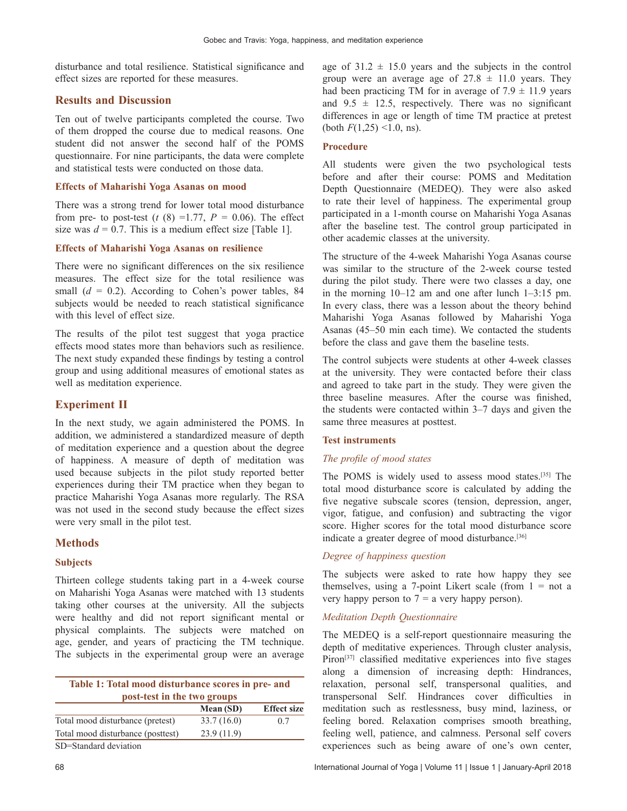disturbance and total resilience. Statistical significance and effect sizes are reported for these measures.

# **Results and Discussion**

Ten out of twelve participants completed the course. Two of them dropped the course due to medical reasons. One student did not answer the second half of the POMS questionnaire. For nine participants, the data were complete and statistical tests were conducted on those data.

### **Effects of Maharishi Yoga Asanas on mood**

There was a strong trend for lower total mood disturbance from pre- to post-test ( $t$  (8) =1.77,  $P = 0.06$ ). The effect size was  $d = 0.7$ . This is a medium effect size [Table 1].

### **Effects of Maharishi Yoga Asanas on resilience**

There were no significant differences on the six resilience measures. The effect size for the total resilience was small  $(d = 0.2)$ . According to Cohen's power tables, 84 subjects would be needed to reach statistical significance with this level of effect size.

The results of the pilot test suggest that yoga practice effects mood states more than behaviors such as resilience. The next study expanded these findings by testing a control group and using additional measures of emotional states as well as meditation experience.

# **Experiment II**

In the next study, we again administered the POMS. In addition, we administered a standardized measure of depth of meditation experience and a question about the degree of happiness. A measure of depth of meditation was used because subjects in the pilot study reported better experiences during their TM practice when they began to practice Maharishi Yoga Asanas more regularly. The RSA was not used in the second study because the effect sizes were very small in the pilot test.

# **Methods**

# **Subjects**

Thirteen college students taking part in a 4‑week course on Maharishi Yoga Asanas were matched with 13 students taking other courses at the university. All the subjects were healthy and did not report significant mental or physical complaints. The subjects were matched on age, gender, and years of practicing the TM technique. The subjects in the experimental group were an average

| Table 1: Total mood disturbance scores in pre- and<br>post-test in the two groups |            |                    |  |
|-----------------------------------------------------------------------------------|------------|--------------------|--|
|                                                                                   | Mean (SD)  | <b>Effect size</b> |  |
| Total mood disturbance (pretest)                                                  | 33.7(16.0) | 0.7                |  |
| Total mood disturbance (posttest)                                                 | 23.9(11.9) |                    |  |
| $\sim$ $\sim$ $\sim$ $\sim$ $\sim$ $\sim$ $\sim$                                  |            |                    |  |

SD=Standard deviation

age of  $31.2 \pm 15.0$  years and the subjects in the control group were an average age of  $27.8 \pm 11.0$  years. They had been practicing TM for in average of  $7.9 \pm 11.9$  years and  $9.5 \pm 12.5$ , respectively. There was no significant differences in age or length of time TM practice at pretest (both  $F(1,25)$  <1.0, ns).

### **Procedure**

All students were given the two psychological tests before and after their course: POMS and Meditation Depth Questionnaire (MEDEQ). They were also asked to rate their level of happiness. The experimental group participated in a 1‑month course on Maharishi Yoga Asanas after the baseline test. The control group participated in other academic classes at the university.

The structure of the 4‑week Maharishi Yoga Asanas course was similar to the structure of the 2‑week course tested during the pilot study. There were two classes a day, one in the morning 10–12 am and one after lunch 1–3:15 pm. In every class, there was a lesson about the theory behind Maharishi Yoga Asanas followed by Maharishi Yoga Asanas (45–50 min each time). We contacted the students before the class and gave them the baseline tests.

The control subjects were students at other 4‑week classes at the university. They were contacted before their class and agreed to take part in the study. They were given the three baseline measures. After the course was finished, the students were contacted within 3–7 days and given the same three measures at posttest.

### **Test instruments**

### *The profile of mood states*

The POMS is widely used to assess mood states.[35] The total mood disturbance score is calculated by adding the five negative subscale scores (tension, depression, anger, vigor, fatigue, and confusion) and subtracting the vigor score. Higher scores for the total mood disturbance score indicate a greater degree of mood disturbance.<sup>[36]</sup>

# *Degree of happiness question*

The subjects were asked to rate how happy they see themselves, using a 7-point Likert scale (from  $1 = not$  a very happy person to  $7 = a$  very happy person).

# *Meditation Depth Questionnaire*

The MEDEQ is a self-report questionnaire measuring the depth of meditative experiences. Through cluster analysis, Piron<sup>[37]</sup> classified meditative experiences into five stages along a dimension of increasing depth: Hindrances, relaxation, personal self, transpersonal qualities, and transpersonal Self. Hindrances cover difficulties in meditation such as restlessness, busy mind, laziness, or feeling bored. Relaxation comprises smooth breathing, feeling well, patience, and calmness. Personal self covers experiences such as being aware of one's own center,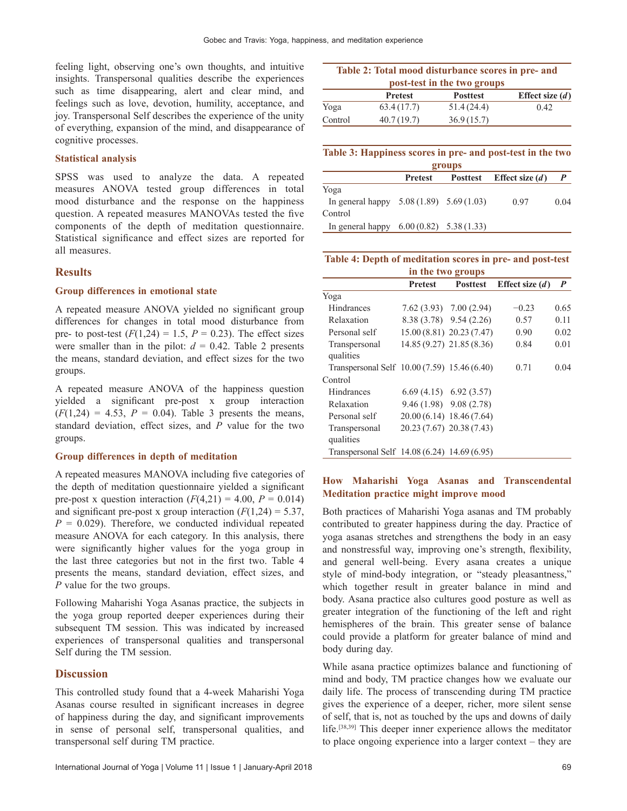feeling light, observing one's own thoughts, and intuitive insights. Transpersonal qualities describe the experiences such as time disappearing, alert and clear mind, and feelings such as love, devotion, humility, acceptance, and joy. Transpersonal Self describes the experience of the unity of everything, expansion of the mind, and disappearance of cognitive processes.

### **Statistical analysis**

SPSS was used to analyze the data. A repeated measures ANOVA tested group differences in total mood disturbance and the response on the happiness question. A repeated measures MANOVAs tested the five components of the depth of meditation questionnaire. Statistical significance and effect sizes are reported for all measures.

### **Results**

#### **Group differences in emotional state**

A repeated measure ANOVA yielded no significant group differences for changes in total mood disturbance from pre- to post-test  $(F(1,24) = 1.5, P = 0.23)$ . The effect sizes were smaller than in the pilot:  $d = 0.42$ . Table 2 presents the means, standard deviation, and effect sizes for the two groups.

A repeated measure ANOVA of the happiness question yielded a significant pre‑post x group interaction  $(F(1,24) = 4.53, P = 0.04)$ . Table 3 presents the means, standard deviation, effect sizes, and *P* value for the two groups.

#### **Group differences in depth of meditation**

A repeated measures MANOVA including five categories of the depth of meditation questionnaire yielded a significant pre-post x question interaction  $(F(4,21) = 4.00, P = 0.014)$ and significant pre-post x group interaction  $(F(1,24) = 5.37)$ ,  $P = 0.029$ . Therefore, we conducted individual repeated measure ANOVA for each category. In this analysis, there were significantly higher values for the yoga group in the last three categories but not in the first two. Table 4 presents the means, standard deviation, effect sizes, and *P* value for the two groups.

Following Maharishi Yoga Asanas practice, the subjects in the yoga group reported deeper experiences during their subsequent TM session. This was indicated by increased experiences of transpersonal qualities and transpersonal Self during the TM session.

### **Discussion**

This controlled study found that a 4‑week Maharishi Yoga Asanas course resulted in significant increases in degree of happiness during the day, and significant improvements in sense of personal self, transpersonal qualities, and transpersonal self during TM practice.

| Table 2: Total mood disturbance scores in pre- and |                |                 |                   |  |
|----------------------------------------------------|----------------|-----------------|-------------------|--|
| post-test in the two groups                        |                |                 |                   |  |
|                                                    | <b>Pretest</b> | <b>Posttest</b> | Effect size $(d)$ |  |
| Yoga                                               | 63.4(17.7)     | 51.4(24.4)      | 0.42              |  |
| Control                                            | 40.7(19.7)     | 36.9(15.7)      |                   |  |

| Table 3: Happiness scores in pre- and post-test in the two |  |  |  |  |
|------------------------------------------------------------|--|--|--|--|
| groups                                                     |  |  |  |  |

|                                            | <b>Pretest</b> |  | Posttest Effect size $(d)$ |      |
|--------------------------------------------|----------------|--|----------------------------|------|
| Yoga                                       |                |  |                            |      |
| In general happy $5.08(1.89)$ $5.69(1.03)$ |                |  | 0.97                       | 0.04 |
| Control                                    |                |  |                            |      |
| In general happy $6.00(0.82)$ $5.38(1.33)$ |                |  |                            |      |

### Table 4: Depth of meditation scores in pre- and post-test **in the two groups**

|                                              | Pretest | <b>Posttest</b>            | Effect size $(d)$ | $\boldsymbol{P}$ |
|----------------------------------------------|---------|----------------------------|-------------------|------------------|
| Yoga                                         |         |                            |                   |                  |
| Hindrances                                   |         | $7.62(3.93)$ $7.00(2.94)$  | $-0.23$           | 0.65             |
| Relaxation                                   |         | 8.38 (3.78) 9.54 (2.26)    | 0.57              | 0.11             |
| Personal self                                |         | 15.00 (8.81) 20.23 (7.47)  | 0.90              | 0.02             |
| Transpersonal<br>qualities                   |         | 14.85 (9.27) 21.85 (8.36)  | 0.84              | 0.01             |
| Transpersonal Self 10.00 (7.59) 15.46 (6.40) |         |                            | 0.71              | 0.04             |
| Control                                      |         |                            |                   |                  |
| <b>Hindrances</b>                            |         | $6.69(4.15)$ $6.92(3.57)$  |                   |                  |
| Relaxation                                   |         | $9.46(1.98)$ $9.08(2.78)$  |                   |                  |
| Personal self                                |         | $20.00(6.14)$ 18.46 (7.64) |                   |                  |
| Transpersonal<br>qualities                   |         | 20.23 (7.67) 20.38 (7.43)  |                   |                  |
| Transpersonal Self 14.08 (6.24) 14.69 (6.95) |         |                            |                   |                  |

# **How Maharishi Yoga Asanas and Transcendental Meditation practice might improve mood**

Both practices of Maharishi Yoga asanas and TM probably contributed to greater happiness during the day. Practice of yoga asanas stretches and strengthens the body in an easy and nonstressful way, improving one's strength, flexibility, and general well‑being. Every asana creates a unique style of mind-body integration, or "steady pleasantness," which together result in greater balance in mind and body. Asana practice also cultures good posture as well as greater integration of the functioning of the left and right hemispheres of the brain. This greater sense of balance could provide a platform for greater balance of mind and body during day.

While asana practice optimizes balance and functioning of mind and body, TM practice changes how we evaluate our daily life. The process of transcending during TM practice gives the experience of a deeper, richer, more silent sense of self, that is, not as touched by the ups and downs of daily life.[38,39] This deeper inner experience allows the meditator to place ongoing experience into a larger context – they are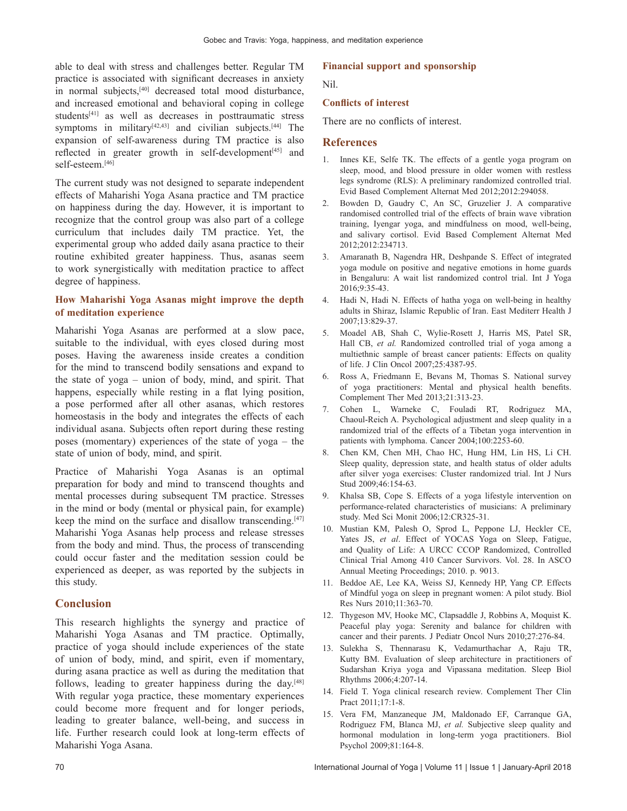able to deal with stress and challenges better. Regular TM practice is associated with significant decreases in anxiety in normal subjects,[40] decreased total mood disturbance, and increased emotional and behavioral coping in college students[41] as well as decreases in posttraumatic stress symptoms in military<sup>[42,43]</sup> and civilian subjects.<sup>[44]</sup> The expansion of self-awareness during TM practice is also reflected in greater growth in self-development<sup>[45]</sup> and self-esteem.[46]

The current study was not designed to separate independent effects of Maharishi Yoga Asana practice and TM practice on happiness during the day. However, it is important to recognize that the control group was also part of a college curriculum that includes daily TM practice. Yet, the experimental group who added daily asana practice to their routine exhibited greater happiness. Thus, asanas seem to work synergistically with meditation practice to affect degree of happiness.

### **How Maharishi Yoga Asanas might improve the depth of meditation experience**

Maharishi Yoga Asanas are performed at a slow pace, suitable to the individual, with eyes closed during most poses. Having the awareness inside creates a condition for the mind to transcend bodily sensations and expand to the state of yoga – union of body, mind, and spirit. That happens, especially while resting in a flat lying position, a pose performed after all other asanas, which restores homeostasis in the body and integrates the effects of each individual asana. Subjects often report during these resting poses (momentary) experiences of the state of yoga – the state of union of body, mind, and spirit.

Practice of Maharishi Yoga Asanas is an optimal preparation for body and mind to transcend thoughts and mental processes during subsequent TM practice. Stresses in the mind or body (mental or physical pain, for example) keep the mind on the surface and disallow transcending.[47] Maharishi Yoga Asanas help process and release stresses from the body and mind. Thus, the process of transcending could occur faster and the meditation session could be experienced as deeper, as was reported by the subjects in this study.

# **Conclusion**

This research highlights the synergy and practice of Maharishi Yoga Asanas and TM practice. Optimally, practice of yoga should include experiences of the state of union of body, mind, and spirit, even if momentary, during asana practice as well as during the meditation that follows, leading to greater happiness during the day.<sup>[48]</sup> With regular yoga practice, these momentary experiences could become more frequent and for longer periods, leading to greater balance, well-being, and success in life. Further research could look at long‑term effects of Maharishi Yoga Asana.

### **Financial support and sponsorship**

Nil.

#### **Conflicts of interest**

There are no conflicts of interest.

#### **References**

- 1. Innes KE, Selfe TK. The effects of a gentle yoga program on sleep, mood, and blood pressure in older women with restless legs syndrome (RLS): A preliminary randomized controlled trial. Evid Based Complement Alternat Med 2012;2012:294058.
- 2. Bowden D, Gaudry C, An SC, Gruzelier J. A comparative randomised controlled trial of the effects of brain wave vibration training, Iyengar yoga, and mindfulness on mood, well-being, and salivary cortisol. Evid Based Complement Alternat Med 2012;2012:234713.
- 3. Amaranath B, Nagendra HR, Deshpande S. Effect of integrated yoga module on positive and negative emotions in home guards in Bengaluru: A wait list randomized control trial. Int J Yoga 2016;9:35‑43.
- 4. Hadi N, Hadi N. Effects of hatha yoga on well-being in healthy adults in Shiraz, Islamic Republic of Iran. East Mediterr Health J 2007;13:829‑37.
- 5. Moadel AB, Shah C, Wylie-Rosett J, Harris MS, Patel SR, Hall CB, *et al.* Randomized controlled trial of yoga among a multiethnic sample of breast cancer patients: Effects on quality of life. J Clin Oncol 2007;25:4387‑95.
- 6. Ross A, Friedmann E, Bevans M, Thomas S. National survey of yoga practitioners: Mental and physical health benefits. Complement Ther Med 2013;21:313‑23.
- 7. Cohen L, Warneke C, Fouladi RT, Rodriguez MA, Chaoul‑Reich A. Psychological adjustment and sleep quality in a randomized trial of the effects of a Tibetan yoga intervention in patients with lymphoma. Cancer 2004;100:2253-60.
- 8. Chen KM, Chen MH, Chao HC, Hung HM, Lin HS, Li CH. Sleep quality, depression state, and health status of older adults after silver yoga exercises: Cluster randomized trial. Int J Nurs Stud 2009;46:154‑63.
- 9. Khalsa SB, Cope S. Effects of a yoga lifestyle intervention on performance‑related characteristics of musicians: A preliminary study. Med Sci Monit 2006;12:CR325‑31.
- 10. Mustian KM, Palesh O, Sprod L, Peppone LJ, Heckler CE, Yates JS, *et al*. Effect of YOCAS Yoga on Sleep, Fatigue, and Quality of Life: A URCC CCOP Randomized, Controlled Clinical Trial Among 410 Cancer Survivors. Vol. 28. In ASCO Annual Meeting Proceedings; 2010. p. 9013.
- 11. Beddoe AE, Lee KA, Weiss SJ, Kennedy HP, Yang CP. Effects of Mindful yoga on sleep in pregnant women: A pilot study. Biol Res Nurs 2010;11:363‑70.
- 12. Thygeson MV, Hooke MC, Clapsaddle J, Robbins A, Moquist K. Peaceful play yoga: Serenity and balance for children with cancer and their parents. J Pediatr Oncol Nurs 2010;27:276‑84.
- 13. Sulekha S, Thennarasu K, Vedamurthachar A, Raju TR, Kutty BM. Evaluation of sleep architecture in practitioners of Sudarshan Kriya yoga and Vipassana meditation. Sleep Biol Rhythms 2006;4:207‑14.
- 14. Field T. Yoga clinical research review. Complement Ther Clin Pract 2011;17:1-8.
- 15. Vera FM, Manzaneque JM, Maldonado EF, Carranque GA, Rodriguez FM, Blanca MJ, *et al.* Subjective sleep quality and hormonal modulation in long-term yoga practitioners. Biol Psychol 2009;81:164‑8.